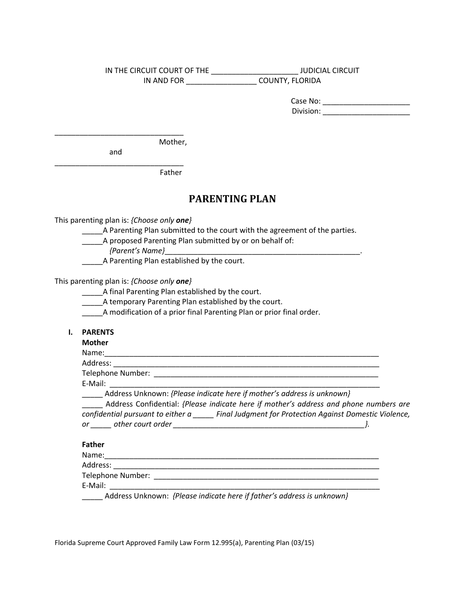# IN THE CIRCUIT COURT OF THE \_\_\_\_\_\_\_\_\_\_\_\_\_\_\_\_\_\_\_\_\_ JUDICIAL CIRCUIT

IN AND FOR \_\_\_\_\_\_\_\_\_\_\_\_\_\_\_\_\_ COUNTY, FLORIDA

Case No: **Example 20** Division: \_\_\_\_\_\_\_\_\_\_\_\_\_\_\_\_\_\_\_\_\_

Mother,

and \_\_\_\_\_\_\_\_\_\_\_\_\_\_\_\_\_\_\_\_\_\_\_\_\_\_\_\_\_\_\_

\_\_\_\_\_\_\_\_\_\_\_\_\_\_\_\_\_\_\_\_\_\_\_\_\_\_\_\_\_\_\_

Father

# **PARENTING PLAN**

This parenting plan is: *{Choose only one}*

- \_\_\_\_\_\_A Parenting Plan submitted to the court with the agreement of the parties.
- \_\_\_\_\_A proposed Parenting Plan submitted by or on behalf of:
	- *{Parent's Name}*\_\_\_\_\_\_\_\_\_\_\_\_\_\_\_\_\_\_\_\_\_\_\_\_\_\_\_\_\_\_\_\_\_\_\_\_\_\_\_\_\_\_\_\_\_\_\_.
	- \_\_\_\_\_A Parenting Plan established by the court.

This parenting plan is: *{Choose only one}*

\_\_\_\_\_A final Parenting Plan established by the court.

A temporary Parenting Plan established by the court.

\_\_\_\_\_A modification of a prior final Parenting Plan or prior final order.

# **I. PARENTS**

# **Mother**

Name:\_\_\_\_\_\_\_\_\_\_\_\_\_\_\_\_\_\_\_\_\_\_\_\_\_\_\_\_\_\_\_\_\_\_\_\_\_\_\_\_\_\_\_\_\_\_\_\_\_\_\_\_\_\_\_\_\_\_\_\_\_\_\_\_\_\_

Address: Telephone Number:

E-Mail:

\_\_\_\_\_ Address Unknown: *{Please indicate here if mother's address is unknown}*

\_\_\_\_\_ Address Confidential: *{Please indicate here if mother's address and phone numbers are confidential pursuant to either a \_\_\_\_\_ Final Judgment for Protection Against Domestic Violence, or \_\_\_\_\_ other court order \_\_\_\_\_\_\_\_\_\_\_\_\_\_\_\_\_\_\_\_\_\_\_\_\_\_\_\_\_\_\_\_\_\_\_\_\_\_\_\_\_\_\_\_\_\_}.*

#### **Father**

Name:\_\_\_\_\_\_\_\_\_\_\_\_\_\_\_\_\_\_\_\_\_\_\_\_\_\_\_\_\_\_\_\_\_\_\_\_\_\_\_\_\_\_\_\_\_\_\_\_\_\_\_\_\_\_\_\_\_\_\_\_\_\_\_\_\_\_

Address: \_\_\_\_\_\_\_\_\_\_\_\_\_\_\_\_\_\_\_\_\_\_\_\_\_\_\_\_\_\_\_\_\_\_\_\_\_\_\_\_\_\_\_\_\_\_\_\_\_\_\_\_\_\_\_\_\_\_\_\_\_\_\_\_

Telephone Number: \_\_\_\_\_\_\_\_\_\_\_\_\_\_\_\_\_\_\_\_\_\_\_\_\_\_\_\_\_\_\_\_\_\_\_\_\_\_\_\_\_\_\_\_\_\_\_\_\_\_\_\_\_\_

E-Mail:

\_\_\_\_\_ Address Unknown: *{Please indicate here if father's address is unknown}*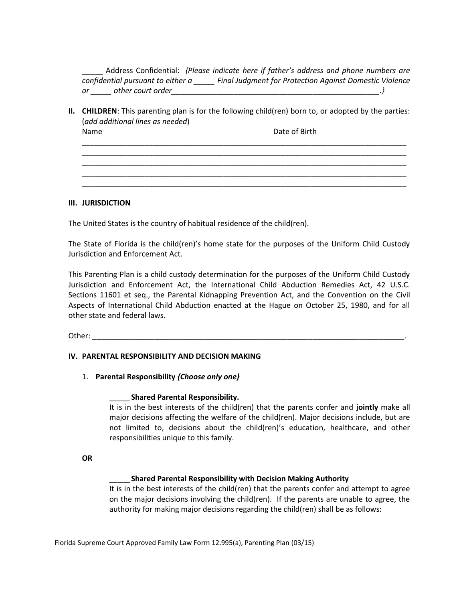\_\_\_\_\_ Address Confidential: *{Please indicate here if father's address and phone numbers are confidential pursuant to either a \_\_\_\_\_ Final Judgment for Protection Against Domestic Violence or \_\_\_\_\_ other court order\_\_\_\_\_\_\_\_\_\_\_\_\_\_\_\_\_\_\_\_\_\_\_\_\_\_\_\_\_\_\_\_\_\_\_\_\_\_\_\_\_\_\_\_\_\_\_\_\_\_.}*

**II. CHILDREN**: This parenting plan is for the following child(ren) born to, or adopted by the parties: (*add additional lines as needed*)

\_\_\_\_\_\_\_\_\_\_\_\_\_\_\_\_\_\_\_\_\_\_\_\_\_\_\_\_\_\_\_\_\_\_\_\_\_\_\_\_\_\_\_\_\_\_\_\_\_\_\_\_\_\_\_\_\_\_\_\_\_\_\_\_\_\_\_\_\_\_\_\_\_\_\_\_\_\_ \_\_\_\_\_\_\_\_\_\_\_\_\_\_\_\_\_\_\_\_\_\_\_\_\_\_\_\_\_\_\_\_\_\_\_\_\_\_\_\_\_\_\_\_\_\_\_\_\_\_\_\_\_\_\_\_\_\_\_\_\_\_\_\_\_\_\_\_\_\_\_\_\_\_\_\_\_\_ \_\_\_\_\_\_\_\_\_\_\_\_\_\_\_\_\_\_\_\_\_\_\_\_\_\_\_\_\_\_\_\_\_\_\_\_\_\_\_\_\_\_\_\_\_\_\_\_\_\_\_\_\_\_\_\_\_\_\_\_\_\_\_\_\_\_\_\_\_\_\_\_\_\_\_\_\_\_ \_\_\_\_\_\_\_\_\_\_\_\_\_\_\_\_\_\_\_\_\_\_\_\_\_\_\_\_\_\_\_\_\_\_\_\_\_\_\_\_\_\_\_\_\_\_\_\_\_\_\_\_\_\_\_\_\_\_\_\_\_\_\_\_\_\_\_\_\_\_\_\_\_\_\_\_\_\_ \_\_\_\_\_\_\_\_\_\_\_\_\_\_\_\_\_\_\_\_\_\_\_\_\_\_\_\_\_\_\_\_\_\_\_\_\_\_\_\_\_\_\_\_\_\_\_\_\_\_\_\_\_\_\_\_\_\_\_\_\_\_\_\_\_\_\_\_\_\_\_\_\_\_\_\_\_\_

Name **Name Date of Birth** 

#### **III. JURISDICTION**

The United States is the country of habitual residence of the child(ren).

The State of Florida is the child(ren)'s home state for the purposes of the Uniform Child Custody Jurisdiction and Enforcement Act.

This Parenting Plan is a child custody determination for the purposes of the Uniform Child Custody Jurisdiction and Enforcement Act, the International Child Abduction Remedies Act, 42 U.S.C. Sections 11601 et seq., the Parental Kidnapping Prevention Act, and the Convention on the Civil Aspects of International Child Abduction enacted at the Hague on October 25, 1980, and for all other state and federal laws.

Other:  $\overline{\phantom{a}}$ 

#### **IV. PARENTAL RESPONSIBILITY AND DECISION MAKING**

1. **Parental Responsibility** *{Choose only one}*

#### \_\_\_\_\_**Shared Parental Responsibility.**

It is in the best interests of the child(ren) that the parents confer and **jointly** make all major decisions affecting the welfare of the child(ren). Major decisions include, but are not limited to, decisions about the child(ren)'s education, healthcare, and other responsibilities unique to this family.

**OR**

#### \_\_\_\_\_**Shared Parental Responsibility with Decision Making Authority**

It is in the best interests of the child(ren) that the parents confer and attempt to agree on the major decisions involving the child(ren). If the parents are unable to agree, the authority for making major decisions regarding the child(ren) shall be as follows: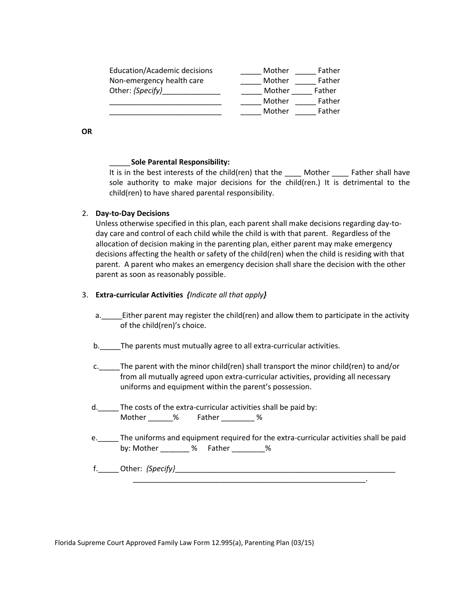| Education/Academic decisions | Mother | Father |
|------------------------------|--------|--------|
| Non-emergency health care    | Mother | Father |
| Other: {Specify}             | Mother | Father |
|                              | Mother | Father |
|                              | Mother | Father |

 **OR**

#### \_\_\_\_\_**Sole Parental Responsibility:**

It is in the best interests of the child(ren) that the \_\_\_\_\_ Mother \_\_\_\_\_ Father shall have sole authority to make major decisions for the child(ren.) It is detrimental to the child(ren) to have shared parental responsibility.

#### 2. **Day-to-Day Decisions**

Unless otherwise specified in this plan, each parent shall make decisions regarding day-today care and control of each child while the child is with that parent. Regardless of the allocation of decision making in the parenting plan, either parent may make emergency decisions affecting the health or safety of the child(ren) when the child is residing with that parent. A parent who makes an emergency decision shall share the decision with the other parent as soon as reasonably possible.

### 3. **Extra-curricular Activities** *{Indicate all that apply}*

- a. Either parent may register the child(ren) and allow them to participate in the activity of the child(ren)'s choice.
- b.\_\_\_\_\_The parents must mutually agree to all extra-curricular activities.
- c.\_\_\_\_\_The parent with the minor child(ren) shall transport the minor child(ren) to and/or from all mutually agreed upon extra-curricular activities, providing all necessary uniforms and equipment within the parent's possession.
- d.\_\_\_\_\_ The costs of the extra-curricular activities shall be paid by: Mother \_\_\_\_\_\_% Father \_\_\_\_\_\_\_\_ %
- e.\_\_\_\_\_ The uniforms and equipment required for the extra-curricular activities shall be paid by: Mother \_\_\_\_\_\_\_\_ % Father \_\_\_\_\_\_\_\_ %

\_\_\_\_\_\_\_\_\_\_\_\_\_\_\_\_\_\_\_\_\_\_\_\_\_\_\_\_\_\_\_\_\_\_\_\_\_\_\_\_\_\_\_\_\_\_\_\_\_\_\_\_\_\_\_\_.

f.\_\_\_\_\_ Other: *{Specify}*\_\_\_\_\_\_\_\_\_\_\_\_\_\_\_\_\_\_\_\_\_\_\_\_\_\_\_\_\_\_\_\_\_\_\_\_\_\_\_\_\_\_\_\_\_\_\_\_\_\_\_\_\_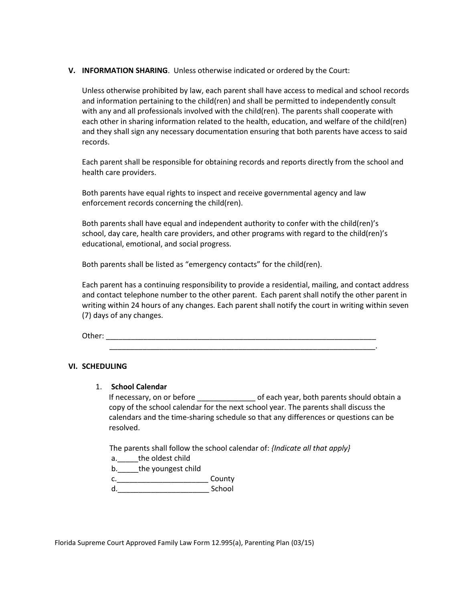### **V. INFORMATION SHARING**. Unless otherwise indicated or ordered by the Court:

Unless otherwise prohibited by law, each parent shall have access to medical and school records and information pertaining to the child(ren) and shall be permitted to independently consult with any and all professionals involved with the child(ren). The parents shall cooperate with each other in sharing information related to the health, education, and welfare of the child(ren) and they shall sign any necessary documentation ensuring that both parents have access to said records.

Each parent shall be responsible for obtaining records and reports directly from the school and health care providers.

Both parents have equal rights to inspect and receive governmental agency and law enforcement records concerning the child(ren).

Both parents shall have equal and independent authority to confer with the child(ren)'s school, day care, health care providers, and other programs with regard to the child(ren)'s educational, emotional, and social progress.

Both parents shall be listed as "emergency contacts" for the child(ren).

Each parent has a continuing responsibility to provide a residential, mailing, and contact address and contact telephone number to the other parent. Each parent shall notify the other parent in writing within 24 hours of any changes. Each parent shall notify the court in writing within seven (7) days of any changes.

\_\_\_\_\_\_\_\_\_\_\_\_\_\_\_\_\_\_\_\_\_\_\_\_\_\_\_\_\_\_\_\_\_\_\_\_\_\_\_\_\_\_\_\_\_\_\_\_\_\_\_\_\_\_\_\_\_\_\_\_\_\_\_\_.

Other:  $\rule{1em}{0.15mm}$ 

#### **VI. SCHEDULING**

#### 1. **School Calendar**

 If necessary, on or before \_\_\_\_\_\_\_\_\_\_\_\_\_\_ of each year, both parents should obtain a copy of the school calendar for the next school year. The parents shall discuss the calendars and the time-sharing schedule so that any differences or questions can be resolved.

The parents shall follow the school calendar of: *{Indicate all that apply}*

a.\_\_\_\_\_the oldest child

b.\_\_\_\_\_the youngest child

 c.\_\_\_\_\_\_\_\_\_\_\_\_\_\_\_\_\_\_\_\_\_\_ County d. School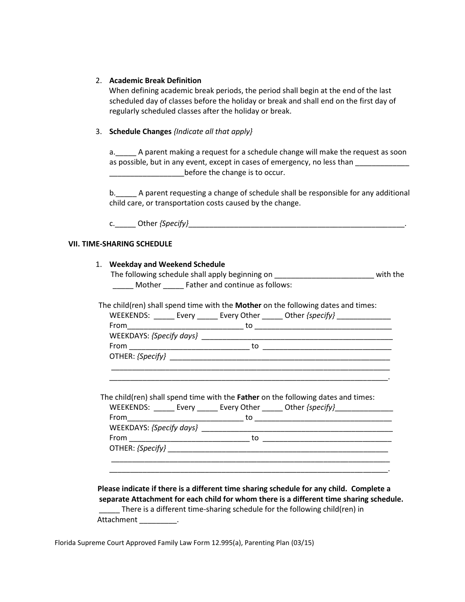### 2. **Academic Break Definition**

 When defining academic break periods, the period shall begin at the end of the last scheduled day of classes before the holiday or break and shall end on the first day of regularly scheduled classes after the holiday or break.

# 3. **Schedule Changes** *{Indicate all that apply}*

a. A parent making a request for a schedule change will make the request as soon as possible, but in any event, except in cases of emergency, no less than \_\_\_\_\_\_\_\_\_\_\_\_ \_\_\_\_\_\_\_\_\_\_\_\_\_\_\_\_\_\_before the change is to occur.

b.\_\_\_\_\_ A parent requesting a change of schedule shall be responsible for any additional child care, or transportation costs caused by the change.

c.\_\_\_\_\_ Other *{Specify}*\_\_\_\_\_\_\_\_\_\_\_\_\_\_\_\_\_\_\_\_\_\_\_\_\_\_\_\_\_\_\_\_\_\_\_\_\_\_\_\_\_\_\_\_\_\_\_\_\_\_\_\_.

#### **VII. TIME-SHARING SCHEDULE**

|  | ______ Mother ______ Father and continue as follows: | The following schedule shall apply beginning on _____________________________ with the   |
|--|------------------------------------------------------|------------------------------------------------------------------------------------------|
|  |                                                      |                                                                                          |
|  |                                                      | The child(ren) shall spend time with the <b>Mother</b> on the following dates and times: |
|  |                                                      | WEEKENDS: ______ Every ______ Every Other ______ Other {specify} ______________          |
|  |                                                      |                                                                                          |
|  |                                                      |                                                                                          |
|  |                                                      |                                                                                          |
|  |                                                      |                                                                                          |
|  |                                                      | The child(ren) shall spend time with the <b>Father</b> on the following dates and times: |
|  |                                                      | WEEKENDS: _____ Every ______ Every Other ______ Other {specify}________________          |
|  |                                                      |                                                                                          |
|  |                                                      |                                                                                          |
|  |                                                      |                                                                                          |
|  |                                                      |                                                                                          |
|  |                                                      |                                                                                          |

**Please indicate if there is a different time sharing schedule for any child. Complete a separate Attachment for each child for whom there is a different time sharing schedule.**  \_\_\_\_\_ There is a different time-sharing schedule for the following child(ren) in Attachment \_\_\_\_\_\_\_\_\_\_.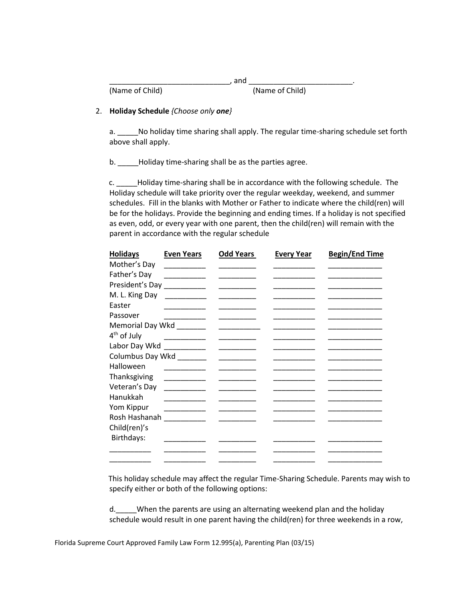(Name of Child) (Name of Child)

\_\_\_\_\_\_\_\_\_\_\_\_\_\_\_\_\_\_\_\_\_\_\_\_\_\_\_\_\_, and \_\_\_\_\_\_\_\_\_\_\_\_\_\_\_\_\_\_\_\_\_\_\_\_\_.

# 2. **Holiday Schedule** *{Choose only one}*

a. \_\_\_\_\_No holiday time sharing shall apply. The regular time-sharing schedule set forth above shall apply.

b. Holiday time-sharing shall be as the parties agree.

 c. \_\_\_\_\_Holiday time-sharing shall be in accordance with the following schedule. The Holiday schedule will take priority over the regular weekday, weekend, and summer schedules. Fill in the blanks with Mother or Father to indicate where the child(ren) will be for the holidays. Provide the beginning and ending times. If a holiday is not specified as even, odd, or every year with one parent, then the child(ren) will remain with the parent in accordance with the regular schedule

| <b>Holidays</b> | <b>Even Years</b>                             | <b>Odd Years</b>                                           | <b>Every Year</b> | <b>Begin/End Time</b> |
|-----------------|-----------------------------------------------|------------------------------------------------------------|-------------------|-----------------------|
| Mother's Day    | <u> 1989 - John Barnett, fransk politiker</u> |                                                            |                   |                       |
| Father's Day    |                                               |                                                            |                   |                       |
|                 |                                               |                                                            |                   |                       |
| M. L. King Day  |                                               |                                                            |                   |                       |
| Easter          | the control of the control of the             |                                                            |                   |                       |
| Passover        |                                               | <u> 1989 - Jan James James Barnett, primeira politik (</u> |                   |                       |
|                 |                                               |                                                            |                   |                       |
| $4th$ of July   |                                               |                                                            |                   |                       |
|                 |                                               |                                                            |                   |                       |
|                 |                                               |                                                            |                   |                       |
| Halloween       |                                               |                                                            |                   |                       |
| Thanksgiving    |                                               |                                                            |                   |                       |
| Veteran's Day   |                                               | <u> 1990 - John Harrison, mars a</u>                       |                   |                       |
| <b>Hanukkah</b> |                                               |                                                            |                   |                       |
| Yom Kippur      |                                               |                                                            |                   |                       |
|                 |                                               |                                                            |                   |                       |
| Child(ren)'s    |                                               |                                                            |                   |                       |
| Birthdays:      |                                               |                                                            |                   |                       |
|                 |                                               |                                                            |                   |                       |
|                 |                                               |                                                            |                   |                       |
|                 |                                               |                                                            |                   |                       |

 This holiday schedule may affect the regular Time-Sharing Schedule. Parents may wish to specify either or both of the following options:

d.\_\_\_\_\_When the parents are using an alternating weekend plan and the holiday schedule would result in one parent having the child(ren) for three weekends in a row,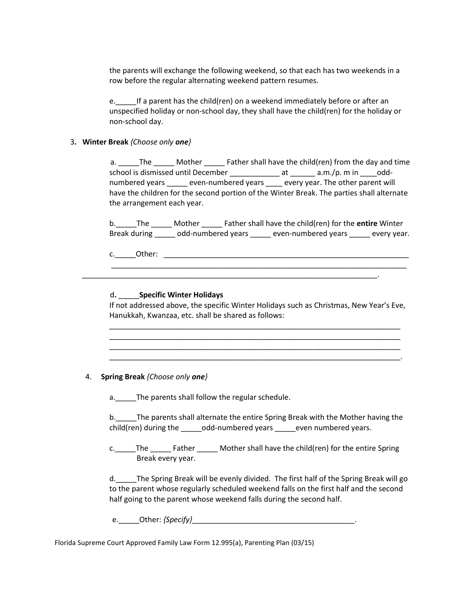the parents will exchange the following weekend, so that each has two weekends in a row before the regular alternating weekend pattern resumes.

e. If a parent has the child(ren) on a weekend immediately before or after an unspecified holiday or non-school day, they shall have the child(ren) for the holiday or non-school day.

#### 3**. Winter Break** *{Choose only one}*

a. The Mother Father shall have the child(ren) from the day and time school is dismissed until December \_\_\_\_\_\_\_\_\_\_\_\_ at \_\_\_\_\_\_ a.m./p. m in \_\_\_\_oddnumbered years \_\_\_\_\_ even-numbered years \_\_\_\_ every year. The other parent will have the children for the second portion of the Winter Break. The parties shall alternate the arrangement each year.

b.\_\_\_\_\_The \_\_\_\_\_ Mother \_\_\_\_\_ Father shall have the child(ren) for the **entire** Winter Break during \_\_\_\_\_ odd-numbered years \_\_\_\_\_ even-numbered years \_\_\_\_\_ every year.

\_\_\_\_\_\_\_\_\_\_\_\_\_\_\_\_\_\_\_\_\_\_\_\_\_\_\_\_\_\_\_\_\_\_\_\_\_\_\_\_\_\_\_\_\_\_\_\_\_\_\_\_\_\_\_\_\_\_\_\_\_\_\_\_\_\_\_\_\_\_\_

\_\_\_\_\_\_\_\_\_\_\_\_\_\_\_\_\_\_\_\_\_\_\_\_\_\_\_\_\_\_\_\_\_\_\_\_\_\_\_\_\_\_\_\_\_\_\_\_\_\_\_\_\_\_\_\_\_\_\_\_\_\_\_\_\_\_\_\_\_\_\_.

c. Other:  $\Box$ 

# d**.** \_\_\_\_\_**Specific Winter Holidays**

If not addressed above, the specific Winter Holidays such as Christmas, New Year's Eve, Hanukkah, Kwanzaa, etc. shall be shared as follows:

\_\_\_\_\_\_\_\_\_\_\_\_\_\_\_\_\_\_\_\_\_\_\_\_\_\_\_\_\_\_\_\_\_\_\_\_\_\_\_\_\_\_\_\_\_\_\_\_\_\_\_\_\_\_\_\_\_\_\_\_\_\_\_\_\_\_\_\_\_\_ \_\_\_\_\_\_\_\_\_\_\_\_\_\_\_\_\_\_\_\_\_\_\_\_\_\_\_\_\_\_\_\_\_\_\_\_\_\_\_\_\_\_\_\_\_\_\_\_\_\_\_\_\_\_\_\_\_\_\_\_\_\_\_\_\_\_\_\_\_\_ \_\_\_\_\_\_\_\_\_\_\_\_\_\_\_\_\_\_\_\_\_\_\_\_\_\_\_\_\_\_\_\_\_\_\_\_\_\_\_\_\_\_\_\_\_\_\_\_\_\_\_\_\_\_\_\_\_\_\_\_\_\_\_\_\_\_\_\_\_\_ \_\_\_\_\_\_\_\_\_\_\_\_\_\_\_\_\_\_\_\_\_\_\_\_\_\_\_\_\_\_\_\_\_\_\_\_\_\_\_\_\_\_\_\_\_\_\_\_\_\_\_\_\_\_\_\_\_\_\_\_\_\_\_\_\_\_\_\_\_\_.

#### 4. **Spring Break** *{Choose only one}*

a.\_\_\_\_\_The parents shall follow the regular schedule.

b.\_\_\_\_\_The parents shall alternate the entire Spring Break with the Mother having the child(ren) during the \_\_\_\_\_\_odd-numbered years \_\_\_\_\_\_even numbered years.

c.\_\_\_\_\_The \_\_\_\_\_ Father \_\_\_\_\_ Mother shall have the child(ren) for the entire Spring Break every year.

d. The Spring Break will be evenly divided. The first half of the Spring Break will go to the parent whose regularly scheduled weekend falls on the first half and the second half going to the parent whose weekend falls during the second half.

e. Other: *{Specify}*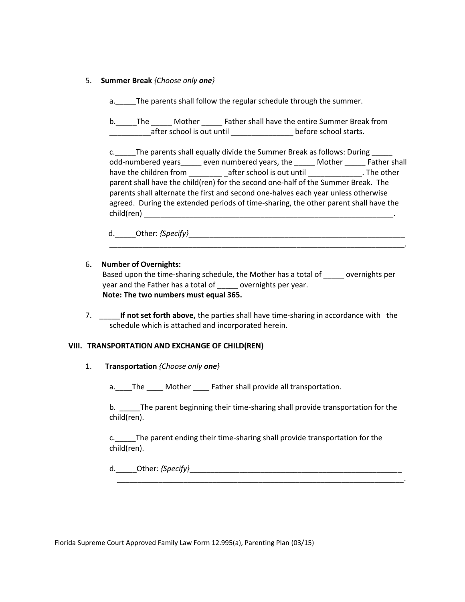### 5. **Summer Break** *{Choose only one}*

a. The parents shall follow the regular schedule through the summer.

b. The Mother \_\_\_\_\_\_ Father shall have the entire Summer Break from \_\_\_\_\_\_\_\_\_\_after school is out until \_\_\_\_\_\_\_\_\_\_\_\_\_\_\_ before school starts.

c. The parents shall equally divide the Summer Break as follows: During odd-numbered years\_\_\_\_\_ even numbered years, the \_\_\_\_\_ Mother \_\_\_\_\_ Father shall have the children from \_\_\_\_\_\_\_\_ \_after school is out until \_\_\_\_\_\_\_\_\_\_\_\_\_. The other parent shall have the child(ren) for the second one-half of the Summer Break. The parents shall alternate the first and second one-halves each year unless otherwise agreed. During the extended periods of time-sharing, the other parent shall have the child(ren) \_\_\_\_\_\_\_\_\_\_\_\_\_\_\_\_\_\_\_\_\_\_\_\_\_\_\_\_\_\_\_\_\_\_\_\_\_\_\_\_\_\_\_\_\_\_\_\_\_\_\_\_\_\_\_\_\_\_\_\_.

\_\_\_\_\_\_\_\_\_\_\_\_\_\_\_\_\_\_\_\_\_\_\_\_\_\_\_\_\_\_\_\_\_\_\_\_\_\_\_\_\_\_\_\_\_\_\_\_\_\_\_\_\_\_\_\_\_\_\_\_\_\_\_\_\_\_\_\_\_\_\_.

d.\_\_\_\_\_Other: *{Specify}*\_\_\_\_\_\_\_\_\_\_\_\_\_\_\_\_\_\_\_\_\_\_\_\_\_\_\_\_\_\_\_\_\_\_\_\_\_\_\_\_\_\_\_\_\_\_\_\_\_\_\_\_

### 6**. Number of Overnights:**

Based upon the time-sharing schedule, the Mother has a total of \_\_\_\_\_ overnights per year and the Father has a total of \_\_\_\_\_ overnights per year. **Note: The two numbers must equal 365.**

7. \_\_\_\_\_**If not set forth above,** the parties shall have time-sharing in accordance with the schedule which is attached and incorporated herein.

# **VIII. TRANSPORTATION AND EXCHANGE OF CHILD(REN)**

1. **Transportation** *{Choose only one}*

a. The Mother Father shall provide all transportation.

b. \_\_\_\_\_The parent beginning their time-sharing shall provide transportation for the child(ren).

\_\_\_\_\_\_\_\_\_\_\_\_\_\_\_\_\_\_\_\_\_\_\_\_\_\_\_\_\_\_\_\_\_\_\_\_\_\_\_\_\_\_\_\_\_\_\_\_\_\_\_\_\_\_\_\_\_\_\_\_\_\_\_\_\_\_\_\_\_.

c.\_\_\_\_\_The parent ending their time-sharing shall provide transportation for the child(ren).

d.\_\_\_\_\_Other: *{Specify}*\_\_\_\_\_\_\_\_\_\_\_\_\_\_\_\_\_\_\_\_\_\_\_\_\_\_\_\_\_\_\_\_\_\_\_\_\_\_\_\_\_\_\_\_\_\_\_\_\_\_\_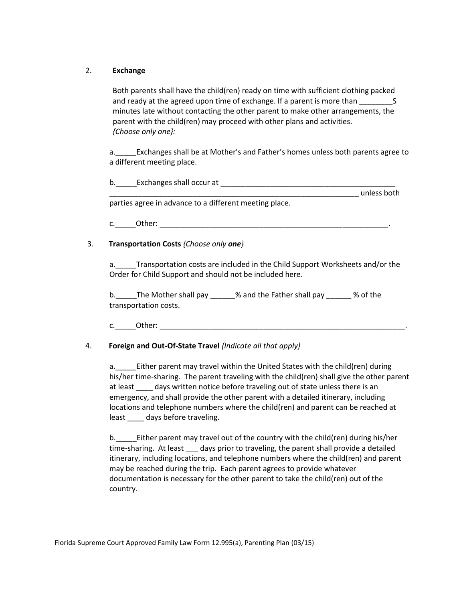# 2. **Exchange**

 Both parents shall have the child(ren) ready on time with sufficient clothing packed and ready at the agreed upon time of exchange. If a parent is more than  $\sim$  S minutes late without contacting the other parent to make other arrangements, the parent with the child(ren) may proceed with other plans and activities. *{Choose only one}:*

a.\_\_\_\_\_Exchanges shall be at Mother's and Father's homes unless both parents agree to a different meeting place.

b. Exchanges shall occur at **Exchanges** shall are shall as  $\frac{1}{2}$ \_\_\_\_\_\_\_\_\_\_\_\_\_\_\_\_\_\_\_\_\_\_\_\_\_\_\_\_\_\_\_\_\_\_\_\_\_\_\_\_\_\_\_\_\_\_\_\_\_\_\_\_\_\_\_\_\_\_\_\_ unless both

parties agree in advance to a different meeting place.

c. Other:  $\Box$ 

# 3. **Transportation Costs** *{Choose only one}*

a.\_\_\_\_\_Transportation costs are included in the Child Support Worksheets and/or the Order for Child Support and should not be included here.

b. The Mother shall pay \_\_\_\_\_\_% and the Father shall pay \_\_\_\_\_\_% of the transportation costs.

c.\_\_\_\_\_Other: \_\_\_\_\_\_\_\_\_\_\_\_\_\_\_\_\_\_\_\_\_\_\_\_\_\_\_\_\_\_\_\_\_\_\_\_\_\_\_\_\_\_\_\_\_\_\_\_\_\_\_\_\_\_\_\_\_\_\_.

# 4. **Foreign and Out-Of-State Travel** *{Indicate all that apply}*

a. Either parent may travel within the United States with the child(ren) during his/her time-sharing. The parent traveling with the child(ren) shall give the other parent at least days written notice before traveling out of state unless there is an emergency, and shall provide the other parent with a detailed itinerary, including locations and telephone numbers where the child(ren) and parent can be reached at least days before traveling.

b.\_\_\_\_\_Either parent may travel out of the country with the child(ren) during his/her time-sharing. At least days prior to traveling, the parent shall provide a detailed itinerary, including locations, and telephone numbers where the child(ren) and parent may be reached during the trip. Each parent agrees to provide whatever documentation is necessary for the other parent to take the child(ren) out of the country.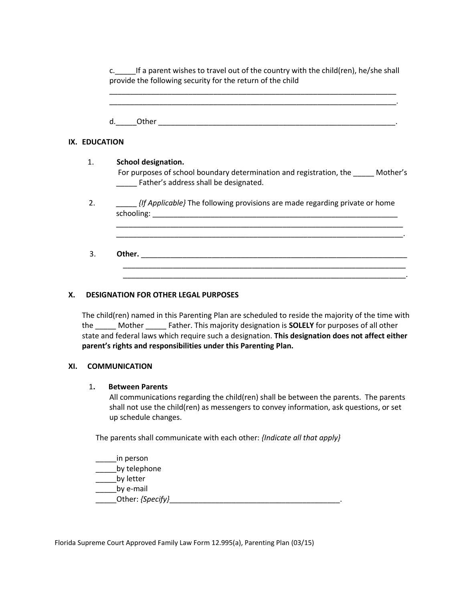|               | c. If a parent wishes to travel out of the country with the child(ren), he/she shall<br>provide the following security for the return of the child                                                                                             |  |  |  |
|---------------|------------------------------------------------------------------------------------------------------------------------------------------------------------------------------------------------------------------------------------------------|--|--|--|
|               | <u> 1989 - Johann Stoff, deutscher Stoff, der Stoff, der Stoff, der Stoff, der Stoff, der Stoff, der Stoff, der S</u>                                                                                                                          |  |  |  |
| IX. EDUCATION |                                                                                                                                                                                                                                                |  |  |  |
| 1.            | School designation.<br>For purposes of school boundary determination and registration, the _____ Mother's<br>Father's address shall be designated.                                                                                             |  |  |  |
| 2.            | [If Applicable] The following provisions are made regarding private or home<br><u> 1990 - Johann Stoff, amerikan bestein der stadt i den stadt for de stadt i den stadt for de stadt for de stad</u>                                           |  |  |  |
| 3.            | <u> 1989 - Johann Stoff, deutscher Stoff, der Stoff, der Stoff, der Stoff, der Stoff, der Stoff, der Stoff, der S</u><br><u> 1989 - Johann Harry Harry Harry Harry Harry Harry Harry Harry Harry Harry Harry Harry Harry Harry Harry Harry</u> |  |  |  |
| Х.            | <b>DESIGNATION FOR OTHER LEGAL PURPOSES</b>                                                                                                                                                                                                    |  |  |  |

The child(ren) named in this Parenting Plan are scheduled to reside the majority of the time with the \_\_\_\_\_ Mother \_\_\_\_\_ Father. This majority designation is **SOLELY** for purposes of all other state and federal laws which require such a designation. **This designation does not affect either parent's rights and responsibilities under this Parenting Plan.**

### **XI. COMMUNICATION**

#### 1**. Between Parents**

All communications regarding the child(ren) shall be between the parents. The parents shall not use the child(ren) as messengers to convey information, ask questions, or set up schedule changes.

The parents shall communicate with each other: *{Indicate all that apply}*

| in person        |  |
|------------------|--|
| by telephone     |  |
| by letter        |  |
| by e-mail        |  |
| Other: {Specify} |  |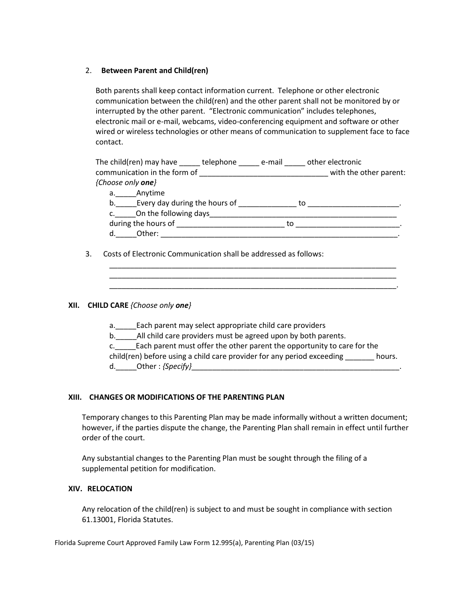### 2. **Between Parent and Child(ren)**

Both parents shall keep contact information current. Telephone or other electronic communication between the child(ren) and the other parent shall not be monitored by or interrupted by the other parent. "Electronic communication" includes telephones, electronic mail or e-mail, webcams, video-conferencing equipment and software or other wired or wireless technologies or other means of communication to supplement face to face contact.

| The child(ren) may have telephone e-mail other electronic |    |                        |
|-----------------------------------------------------------|----|------------------------|
| communication in the form of                              |    | with the other parent: |
| {Choose only <b>one</b> }                                 |    |                        |
| Anytime<br>a.                                             |    |                        |
| b. Every day during the hours of                          | to |                        |
| c. On the following days                                  |    |                        |
| during the hours of the state of the state of             | to |                        |
| Other:<br>d.                                              |    |                        |

\_\_\_\_\_\_\_\_\_\_\_\_\_\_\_\_\_\_\_\_\_\_\_\_\_\_\_\_\_\_\_\_\_\_\_\_\_\_\_\_\_\_\_\_\_\_\_\_\_\_\_\_\_\_\_\_\_\_\_\_\_\_\_\_\_\_\_\_\_ \_\_\_\_\_\_\_\_\_\_\_\_\_\_\_\_\_\_\_\_\_\_\_\_\_\_\_\_\_\_\_\_\_\_\_\_\_\_\_\_\_\_\_\_\_\_\_\_\_\_\_\_\_\_\_\_\_\_\_\_\_\_\_\_\_\_\_\_\_ \_\_\_\_\_\_\_\_\_\_\_\_\_\_\_\_\_\_\_\_\_\_\_\_\_\_\_\_\_\_\_\_\_\_\_\_\_\_\_\_\_\_\_\_\_\_\_\_\_\_\_\_\_\_\_\_\_\_\_\_\_\_\_\_\_\_\_\_\_.

3. Costs of Electronic Communication shall be addressed as follows:

# **XII. CHILD CARE** *{Choose only one}*

| а. | Each parent may select appropriate child care providers                          |
|----|----------------------------------------------------------------------------------|
| b. | All child care providers must be agreed upon by both parents.                    |
| c. | Each parent must offer the other parent the opportunity to care for the          |
|    | child(ren) before using a child care provider for any period exceeding<br>hours. |
|    | d. Other: {Specify}                                                              |

# **XIII. CHANGES OR MODIFICATIONS OF THE PARENTING PLAN**

Temporary changes to this Parenting Plan may be made informally without a written document; however, if the parties dispute the change, the Parenting Plan shall remain in effect until further order of the court.

Any substantial changes to the Parenting Plan must be sought through the filing of a supplemental petition for modification.

# **XIV. RELOCATION**

Any relocation of the child(ren) is subject to and must be sought in compliance with section 61.13001, Florida Statutes.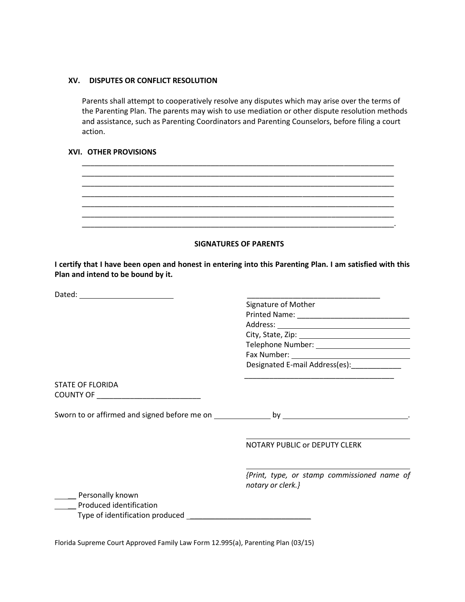#### **XV. DISPUTES OR CONFLICT RESOLUTION**

Parents shall attempt to cooperatively resolve any disputes which may arise over the terms of the Parenting Plan. The parents may wish to use mediation or other dispute resolution methods and assistance, such as Parenting Coordinators and Parenting Counselors, before filing a court action.

\_\_\_\_\_\_\_\_\_\_\_\_\_\_\_\_\_\_\_\_\_\_\_\_\_\_\_\_\_\_\_\_\_\_\_\_\_\_\_\_\_\_\_\_\_\_\_\_\_\_\_\_\_\_\_\_\_\_\_\_\_\_\_\_\_\_\_\_\_\_\_\_\_\_\_

# **XVI. OTHER PROVISIONS**

|                                             | SIGNATURES OF PARENTS                                                                                     |
|---------------------------------------------|-----------------------------------------------------------------------------------------------------------|
| Plan and intend to be bound by it.          | I certify that I have been open and honest in entering into this Parenting Plan. I am satisfied with this |
| Dated: ___________________________          |                                                                                                           |
|                                             | Signature of Mother                                                                                       |
|                                             |                                                                                                           |
|                                             | City, State, Zip: 1978)                                                                                   |
|                                             |                                                                                                           |
|                                             |                                                                                                           |
|                                             | Designated E-mail Address(es):                                                                            |
| <b>STATE OF FLORIDA</b>                     |                                                                                                           |
|                                             |                                                                                                           |
|                                             |                                                                                                           |
|                                             | NOTARY PUBLIC or DEPUTY CLERK                                                                             |
|                                             | {Print, type, or stamp commissioned name of<br>notary or clerk.}                                          |
| Personally known<br>Produced identification |                                                                                                           |
|                                             |                                                                                                           |